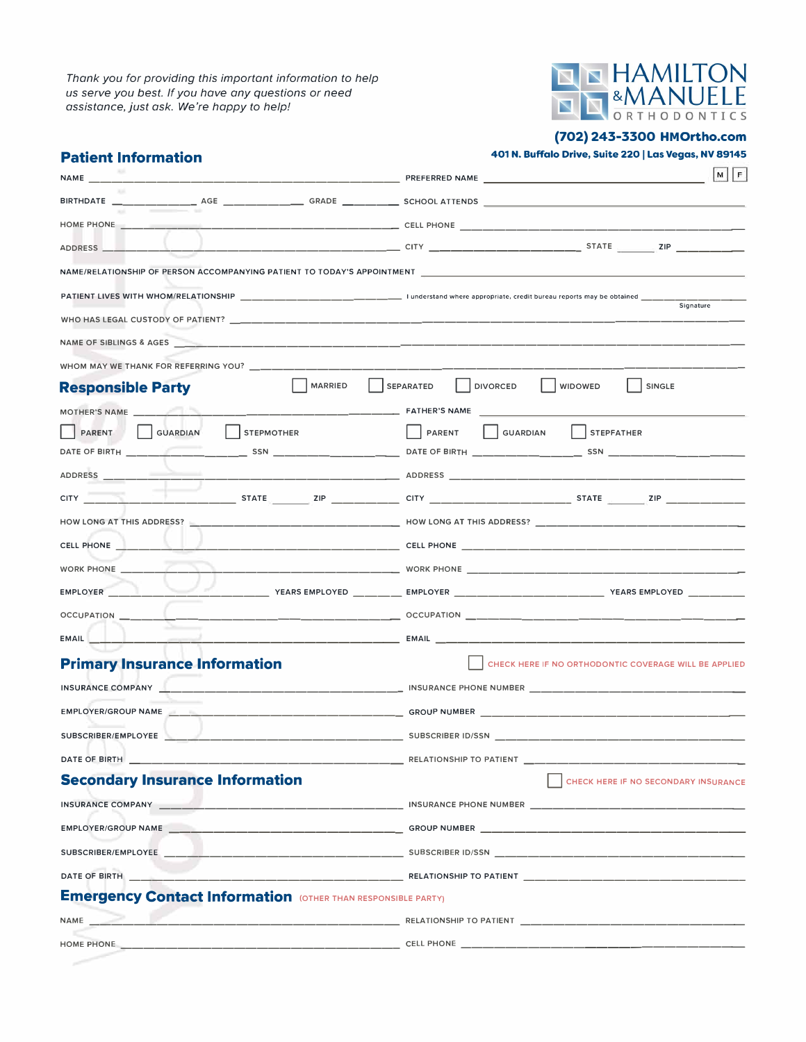*Thank you for providing this important information to help us serve you best. If you have any questions or need assistance.just ask. We're happy to help!* 



**(702) 243-3300 HMOrtho.com**

| ADDRESS _____<br>NAME/RELATIONSHIP OF PERSON ACCOMPANYING PATIENT TO TODAY'S APPOINTMENT ____________________________<br>Signature<br>WHOM MAY WE THANK FOR REFERRING YOU? ____________<br>MARRIED<br>DIVORCED<br>SEPARATED<br><b>WIDOWED</b><br>SINGLE<br><b>Responsible Party</b><br>$\vert$ STEPMOTHER<br>SUARDIAN<br>PARENT GUARDIAN<br>$\vert$ STEPFATHER<br><b>PARENT</b><br>CELL PHONE<br>WORK PHONE <b>WORK AND A STATE OF A STATE OF A STATE OF A STATE OF A STATE OF A STATE OF A STATE OF A STATE OF A ST</b><br><b>EMPLOYER</b><br><b>EMAIL</b><br><b>Primary Insurance Information</b><br>INSURANCE COMPANY<br>EMPLOYER/GROUP NAME And the contract of the contract of the contract of the contract of the contract of the contract of the contract of the contract of the contract of the contract of the contract of the contract of the co<br>GROUP NUMBER AND THE STATE OF THE STATE OF THE STATE OF THE STATE OF THE STATE OF THE STATE OF THE STATE OF THE STATE OF THE STATE OF THE STATE OF THE STATE OF THE STATE OF THE STATE OF THE STATE OF THE STATE OF THE STATE<br>SUBSCRIBER/EMPLOYEE<br>SUBSCRIBER ID/SSN<br><b>Secondary Insurance Information</b> | <b>Patient Information</b> | 401 N. Buffalo Drive, Suite 220   Las Vegas, NV 89145 |
|-----------------------------------------------------------------------------------------------------------------------------------------------------------------------------------------------------------------------------------------------------------------------------------------------------------------------------------------------------------------------------------------------------------------------------------------------------------------------------------------------------------------------------------------------------------------------------------------------------------------------------------------------------------------------------------------------------------------------------------------------------------------------------------------------------------------------------------------------------------------------------------------------------------------------------------------------------------------------------------------------------------------------------------------------------------------------------------------------------------------------------------------------------------------------------------|----------------------------|-------------------------------------------------------|
|                                                                                                                                                                                                                                                                                                                                                                                                                                                                                                                                                                                                                                                                                                                                                                                                                                                                                                                                                                                                                                                                                                                                                                                   |                            | MF                                                    |
|                                                                                                                                                                                                                                                                                                                                                                                                                                                                                                                                                                                                                                                                                                                                                                                                                                                                                                                                                                                                                                                                                                                                                                                   |                            |                                                       |
|                                                                                                                                                                                                                                                                                                                                                                                                                                                                                                                                                                                                                                                                                                                                                                                                                                                                                                                                                                                                                                                                                                                                                                                   |                            |                                                       |
|                                                                                                                                                                                                                                                                                                                                                                                                                                                                                                                                                                                                                                                                                                                                                                                                                                                                                                                                                                                                                                                                                                                                                                                   |                            |                                                       |
|                                                                                                                                                                                                                                                                                                                                                                                                                                                                                                                                                                                                                                                                                                                                                                                                                                                                                                                                                                                                                                                                                                                                                                                   |                            |                                                       |
|                                                                                                                                                                                                                                                                                                                                                                                                                                                                                                                                                                                                                                                                                                                                                                                                                                                                                                                                                                                                                                                                                                                                                                                   |                            |                                                       |
|                                                                                                                                                                                                                                                                                                                                                                                                                                                                                                                                                                                                                                                                                                                                                                                                                                                                                                                                                                                                                                                                                                                                                                                   |                            |                                                       |
|                                                                                                                                                                                                                                                                                                                                                                                                                                                                                                                                                                                                                                                                                                                                                                                                                                                                                                                                                                                                                                                                                                                                                                                   |                            |                                                       |
|                                                                                                                                                                                                                                                                                                                                                                                                                                                                                                                                                                                                                                                                                                                                                                                                                                                                                                                                                                                                                                                                                                                                                                                   |                            |                                                       |
|                                                                                                                                                                                                                                                                                                                                                                                                                                                                                                                                                                                                                                                                                                                                                                                                                                                                                                                                                                                                                                                                                                                                                                                   |                            |                                                       |
|                                                                                                                                                                                                                                                                                                                                                                                                                                                                                                                                                                                                                                                                                                                                                                                                                                                                                                                                                                                                                                                                                                                                                                                   |                            |                                                       |
|                                                                                                                                                                                                                                                                                                                                                                                                                                                                                                                                                                                                                                                                                                                                                                                                                                                                                                                                                                                                                                                                                                                                                                                   |                            |                                                       |
|                                                                                                                                                                                                                                                                                                                                                                                                                                                                                                                                                                                                                                                                                                                                                                                                                                                                                                                                                                                                                                                                                                                                                                                   |                            |                                                       |
|                                                                                                                                                                                                                                                                                                                                                                                                                                                                                                                                                                                                                                                                                                                                                                                                                                                                                                                                                                                                                                                                                                                                                                                   |                            |                                                       |
|                                                                                                                                                                                                                                                                                                                                                                                                                                                                                                                                                                                                                                                                                                                                                                                                                                                                                                                                                                                                                                                                                                                                                                                   |                            |                                                       |
|                                                                                                                                                                                                                                                                                                                                                                                                                                                                                                                                                                                                                                                                                                                                                                                                                                                                                                                                                                                                                                                                                                                                                                                   |                            |                                                       |
|                                                                                                                                                                                                                                                                                                                                                                                                                                                                                                                                                                                                                                                                                                                                                                                                                                                                                                                                                                                                                                                                                                                                                                                   |                            |                                                       |
|                                                                                                                                                                                                                                                                                                                                                                                                                                                                                                                                                                                                                                                                                                                                                                                                                                                                                                                                                                                                                                                                                                                                                                                   |                            |                                                       |
|                                                                                                                                                                                                                                                                                                                                                                                                                                                                                                                                                                                                                                                                                                                                                                                                                                                                                                                                                                                                                                                                                                                                                                                   |                            |                                                       |
|                                                                                                                                                                                                                                                                                                                                                                                                                                                                                                                                                                                                                                                                                                                                                                                                                                                                                                                                                                                                                                                                                                                                                                                   |                            |                                                       |
|                                                                                                                                                                                                                                                                                                                                                                                                                                                                                                                                                                                                                                                                                                                                                                                                                                                                                                                                                                                                                                                                                                                                                                                   |                            |                                                       |
|                                                                                                                                                                                                                                                                                                                                                                                                                                                                                                                                                                                                                                                                                                                                                                                                                                                                                                                                                                                                                                                                                                                                                                                   |                            | CHECK HERE IF NO ORTHODONTIC COVERAGE WILL BE APPLIED |
|                                                                                                                                                                                                                                                                                                                                                                                                                                                                                                                                                                                                                                                                                                                                                                                                                                                                                                                                                                                                                                                                                                                                                                                   |                            |                                                       |
|                                                                                                                                                                                                                                                                                                                                                                                                                                                                                                                                                                                                                                                                                                                                                                                                                                                                                                                                                                                                                                                                                                                                                                                   |                            |                                                       |
|                                                                                                                                                                                                                                                                                                                                                                                                                                                                                                                                                                                                                                                                                                                                                                                                                                                                                                                                                                                                                                                                                                                                                                                   |                            |                                                       |
|                                                                                                                                                                                                                                                                                                                                                                                                                                                                                                                                                                                                                                                                                                                                                                                                                                                                                                                                                                                                                                                                                                                                                                                   |                            |                                                       |
|                                                                                                                                                                                                                                                                                                                                                                                                                                                                                                                                                                                                                                                                                                                                                                                                                                                                                                                                                                                                                                                                                                                                                                                   |                            | CHECK HERE IF NO SECONDARY INSURANCE                  |
|                                                                                                                                                                                                                                                                                                                                                                                                                                                                                                                                                                                                                                                                                                                                                                                                                                                                                                                                                                                                                                                                                                                                                                                   |                            |                                                       |
|                                                                                                                                                                                                                                                                                                                                                                                                                                                                                                                                                                                                                                                                                                                                                                                                                                                                                                                                                                                                                                                                                                                                                                                   |                            |                                                       |
|                                                                                                                                                                                                                                                                                                                                                                                                                                                                                                                                                                                                                                                                                                                                                                                                                                                                                                                                                                                                                                                                                                                                                                                   |                            |                                                       |
|                                                                                                                                                                                                                                                                                                                                                                                                                                                                                                                                                                                                                                                                                                                                                                                                                                                                                                                                                                                                                                                                                                                                                                                   |                            |                                                       |
| <b>Emergency Contact Information (OTHER THAN RESPONSIBLE PARTY)</b>                                                                                                                                                                                                                                                                                                                                                                                                                                                                                                                                                                                                                                                                                                                                                                                                                                                                                                                                                                                                                                                                                                               |                            |                                                       |
|                                                                                                                                                                                                                                                                                                                                                                                                                                                                                                                                                                                                                                                                                                                                                                                                                                                                                                                                                                                                                                                                                                                                                                                   |                            |                                                       |
|                                                                                                                                                                                                                                                                                                                                                                                                                                                                                                                                                                                                                                                                                                                                                                                                                                                                                                                                                                                                                                                                                                                                                                                   |                            |                                                       |